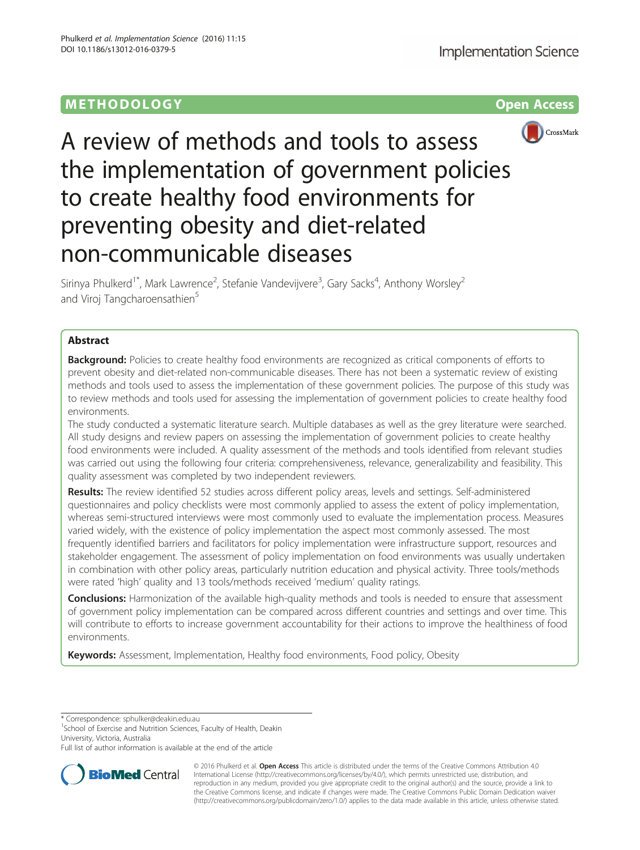

A review of methods and tools to assess the implementation of government policies to create healthy food environments for preventing obesity and diet-related non-communicable diseases

Sirinya Phulkerd<sup>1\*</sup>, Mark Lawrence<sup>2</sup>, Stefanie Vandevijvere<sup>3</sup>, Gary Sacks<sup>4</sup>, Anthony Worsley<sup>2</sup> and Viroj Tangcharoensathien<sup>5</sup>

# Abstract

**Background:** Policies to create healthy food environments are recognized as critical components of efforts to prevent obesity and diet-related non-communicable diseases. There has not been a systematic review of existing methods and tools used to assess the implementation of these government policies. The purpose of this study was to review methods and tools used for assessing the implementation of government policies to create healthy food environments.

The study conducted a systematic literature search. Multiple databases as well as the grey literature were searched. All study designs and review papers on assessing the implementation of government policies to create healthy food environments were included. A quality assessment of the methods and tools identified from relevant studies was carried out using the following four criteria: comprehensiveness, relevance, generalizability and feasibility. This quality assessment was completed by two independent reviewers.

Results: The review identified 52 studies across different policy areas, levels and settings. Self-administered questionnaires and policy checklists were most commonly applied to assess the extent of policy implementation, whereas semi-structured interviews were most commonly used to evaluate the implementation process. Measures varied widely, with the existence of policy implementation the aspect most commonly assessed. The most frequently identified barriers and facilitators for policy implementation were infrastructure support, resources and stakeholder engagement. The assessment of policy implementation on food environments was usually undertaken in combination with other policy areas, particularly nutrition education and physical activity. Three tools/methods were rated 'high' quality and 13 tools/methods received 'medium' quality ratings.

Conclusions: Harmonization of the available high-quality methods and tools is needed to ensure that assessment of government policy implementation can be compared across different countries and settings and over time. This will contribute to efforts to increase government accountability for their actions to improve the healthiness of food environments.

Keywords: Assessment, Implementation, Healthy food environments, Food policy, Obesity

\* Correspondence: [sphulker@deakin.edu.au](mailto:sphulker@deakin.edu.au) <sup>1</sup>

<sup>1</sup>School of Exercise and Nutrition Sciences, Faculty of Health, Deakin University, Victoria, Australia

Full list of author information is available at the end of the article



© 2016 Phulkerd et al. Open Access This article is distributed under the terms of the Creative Commons Attribution 4.0 International License [\(http://creativecommons.org/licenses/by/4.0/](http://creativecommons.org/licenses/by/4.0/)), which permits unrestricted use, distribution, and reproduction in any medium, provided you give appropriate credit to the original author(s) and the source, provide a link to the Creative Commons license, and indicate if changes were made. The Creative Commons Public Domain Dedication waiver [\(http://creativecommons.org/publicdomain/zero/1.0/](http://creativecommons.org/publicdomain/zero/1.0/)) applies to the data made available in this article, unless otherwise stated.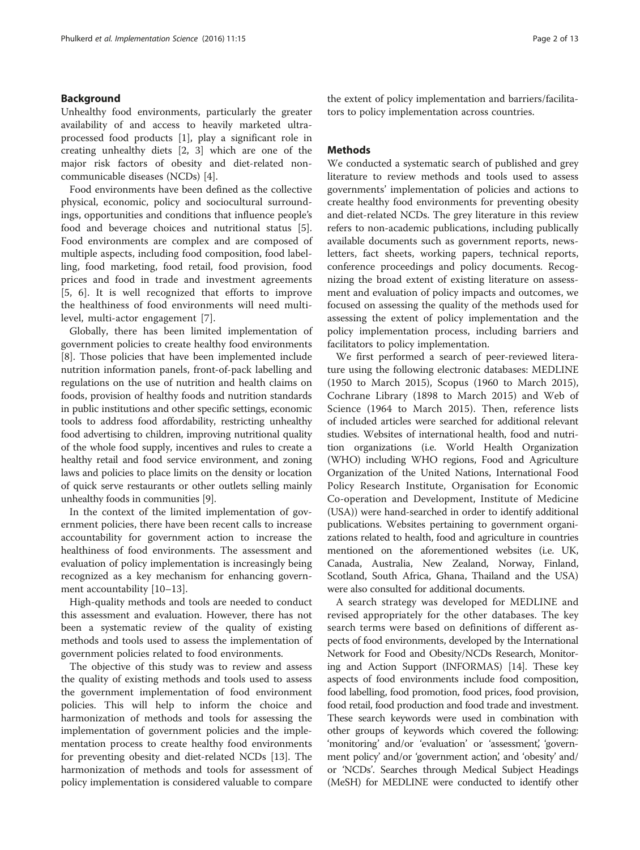### Background

Unhealthy food environments, particularly the greater availability of and access to heavily marketed ultraprocessed food products [[1\]](#page-10-0), play a significant role in creating unhealthy diets [[2, 3\]](#page-10-0) which are one of the major risk factors of obesity and diet-related noncommunicable diseases (NCDs) [[4\]](#page-10-0).

Food environments have been defined as the collective physical, economic, policy and sociocultural surroundings, opportunities and conditions that influence people's food and beverage choices and nutritional status [\[5](#page-10-0)]. Food environments are complex and are composed of multiple aspects, including food composition, food labelling, food marketing, food retail, food provision, food prices and food in trade and investment agreements [[5, 6\]](#page-10-0). It is well recognized that efforts to improve the healthiness of food environments will need multilevel, multi-actor engagement [\[7](#page-10-0)].

Globally, there has been limited implementation of government policies to create healthy food environments [[8\]](#page-10-0). Those policies that have been implemented include nutrition information panels, front-of-pack labelling and regulations on the use of nutrition and health claims on foods, provision of healthy foods and nutrition standards in public institutions and other specific settings, economic tools to address food affordability, restricting unhealthy food advertising to children, improving nutritional quality of the whole food supply, incentives and rules to create a healthy retail and food service environment, and zoning laws and policies to place limits on the density or location of quick serve restaurants or other outlets selling mainly unhealthy foods in communities [\[9](#page-10-0)].

In the context of the limited implementation of government policies, there have been recent calls to increase accountability for government action to increase the healthiness of food environments. The assessment and evaluation of policy implementation is increasingly being recognized as a key mechanism for enhancing government accountability [[10](#page-10-0)–[13](#page-10-0)].

High-quality methods and tools are needed to conduct this assessment and evaluation. However, there has not been a systematic review of the quality of existing methods and tools used to assess the implementation of government policies related to food environments.

The objective of this study was to review and assess the quality of existing methods and tools used to assess the government implementation of food environment policies. This will help to inform the choice and harmonization of methods and tools for assessing the implementation of government policies and the implementation process to create healthy food environments for preventing obesity and diet-related NCDs [\[13\]](#page-10-0). The harmonization of methods and tools for assessment of policy implementation is considered valuable to compare the extent of policy implementation and barriers/facilitators to policy implementation across countries.

### **Methods**

We conducted a systematic search of published and grey literature to review methods and tools used to assess governments' implementation of policies and actions to create healthy food environments for preventing obesity and diet-related NCDs. The grey literature in this review refers to non-academic publications, including publically available documents such as government reports, newsletters, fact sheets, working papers, technical reports, conference proceedings and policy documents. Recognizing the broad extent of existing literature on assessment and evaluation of policy impacts and outcomes, we focused on assessing the quality of the methods used for assessing the extent of policy implementation and the policy implementation process, including barriers and facilitators to policy implementation.

We first performed a search of peer-reviewed literature using the following electronic databases: MEDLINE (1950 to March 2015), Scopus (1960 to March 2015), Cochrane Library (1898 to March 2015) and Web of Science (1964 to March 2015). Then, reference lists of included articles were searched for additional relevant studies. Websites of international health, food and nutrition organizations (i.e. World Health Organization (WHO) including WHO regions, Food and Agriculture Organization of the United Nations, International Food Policy Research Institute, Organisation for Economic Co-operation and Development, Institute of Medicine (USA)) were hand-searched in order to identify additional publications. Websites pertaining to government organizations related to health, food and agriculture in countries mentioned on the aforementioned websites (i.e. UK, Canada, Australia, New Zealand, Norway, Finland, Scotland, South Africa, Ghana, Thailand and the USA) were also consulted for additional documents.

A search strategy was developed for MEDLINE and revised appropriately for the other databases. The key search terms were based on definitions of different aspects of food environments, developed by the International Network for Food and Obesity/NCDs Research, Monitoring and Action Support (INFORMAS) [\[14\]](#page-10-0). These key aspects of food environments include food composition, food labelling, food promotion, food prices, food provision, food retail, food production and food trade and investment. These search keywords were used in combination with other groups of keywords which covered the following: 'monitoring' and/or 'evaluation' or 'assessment', 'government policy' and/or 'government action', and 'obesity' and/ or 'NCDs'. Searches through Medical Subject Headings (MeSH) for MEDLINE were conducted to identify other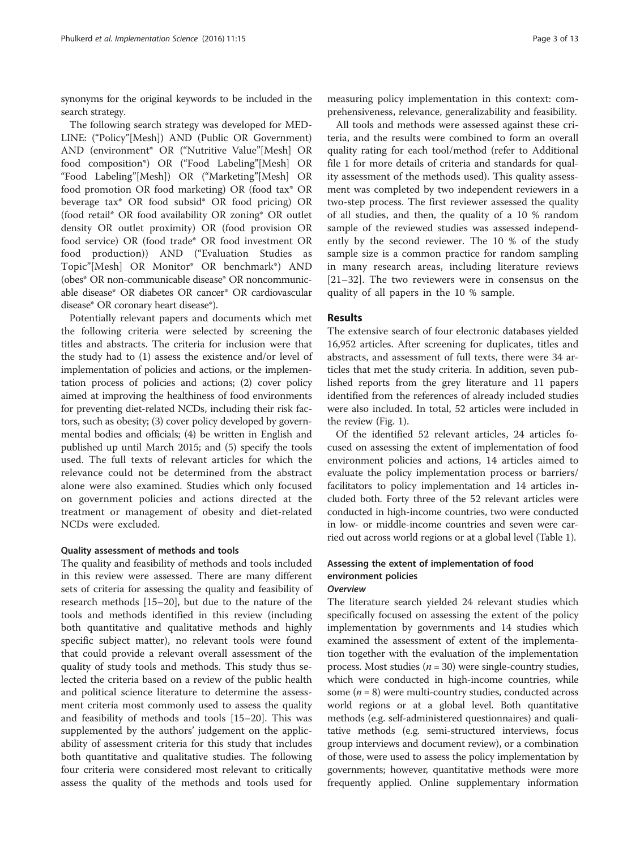synonyms for the original keywords to be included in the search strategy.

The following search strategy was developed for MED-LINE: ("Policy"[Mesh]) AND (Public OR Government) AND (environment\* OR ("Nutritive Value"[Mesh] OR food composition\*) OR ("Food Labeling"[Mesh] OR "Food Labeling"[Mesh]) OR ("Marketing"[Mesh] OR food promotion OR food marketing) OR (food tax\* OR beverage tax\* OR food subsid\* OR food pricing) OR (food retail\* OR food availability OR zoning\* OR outlet density OR outlet proximity) OR (food provision OR food service) OR (food trade\* OR food investment OR food production)) AND ("Evaluation Studies as Topic"[Mesh] OR Monitor\* OR benchmark\*) AND (obes\* OR non-communicable disease\* OR noncommunicable disease\* OR diabetes OR cancer\* OR cardiovascular disease\* OR coronary heart disease\*).

Potentially relevant papers and documents which met the following criteria were selected by screening the titles and abstracts. The criteria for inclusion were that the study had to (1) assess the existence and/or level of implementation of policies and actions, or the implementation process of policies and actions; (2) cover policy aimed at improving the healthiness of food environments for preventing diet-related NCDs, including their risk factors, such as obesity; (3) cover policy developed by governmental bodies and officials; (4) be written in English and published up until March 2015; and (5) specify the tools used. The full texts of relevant articles for which the relevance could not be determined from the abstract alone were also examined. Studies which only focused on government policies and actions directed at the treatment or management of obesity and diet-related NCDs were excluded.

#### Quality assessment of methods and tools

The quality and feasibility of methods and tools included in this review were assessed. There are many different sets of criteria for assessing the quality and feasibility of research methods [[15](#page-10-0)–[20](#page-11-0)], but due to the nature of the tools and methods identified in this review (including both quantitative and qualitative methods and highly specific subject matter), no relevant tools were found that could provide a relevant overall assessment of the quality of study tools and methods. This study thus selected the criteria based on a review of the public health and political science literature to determine the assessment criteria most commonly used to assess the quality and feasibility of methods and tools [[15](#page-10-0)–[20](#page-11-0)]. This was supplemented by the authors' judgement on the applicability of assessment criteria for this study that includes both quantitative and qualitative studies. The following four criteria were considered most relevant to critically assess the quality of the methods and tools used for

measuring policy implementation in this context: comprehensiveness, relevance, generalizability and feasibility.

All tools and methods were assessed against these criteria, and the results were combined to form an overall quality rating for each tool/method (refer to Additional file [1](#page-10-0) for more details of criteria and standards for quality assessment of the methods used). This quality assessment was completed by two independent reviewers in a two-step process. The first reviewer assessed the quality of all studies, and then, the quality of a 10 % random sample of the reviewed studies was assessed independently by the second reviewer. The 10 % of the study sample size is a common practice for random sampling in many research areas, including literature reviews [[21](#page-11-0)–[32](#page-11-0)]. The two reviewers were in consensus on the quality of all papers in the 10 % sample.

#### Results

The extensive search of four electronic databases yielded 16,952 articles. After screening for duplicates, titles and abstracts, and assessment of full texts, there were 34 articles that met the study criteria. In addition, seven published reports from the grey literature and 11 papers identified from the references of already included studies were also included. In total, 52 articles were included in the review (Fig. [1\)](#page-3-0).

Of the identified 52 relevant articles, 24 articles focused on assessing the extent of implementation of food environment policies and actions, 14 articles aimed to evaluate the policy implementation process or barriers/ facilitators to policy implementation and 14 articles included both. Forty three of the 52 relevant articles were conducted in high-income countries, two were conducted in low- or middle-income countries and seven were carried out across world regions or at a global level (Table [1](#page-4-0)).

## Assessing the extent of implementation of food environment policies **Overview**

The literature search yielded 24 relevant studies which specifically focused on assessing the extent of the policy implementation by governments and 14 studies which examined the assessment of extent of the implementation together with the evaluation of the implementation process. Most studies ( $n = 30$ ) were single-country studies, which were conducted in high-income countries, while some  $(n = 8)$  were multi-country studies, conducted across world regions or at a global level. Both quantitative methods (e.g. self-administered questionnaires) and qualitative methods (e.g. semi-structured interviews, focus group interviews and document review), or a combination of those, were used to assess the policy implementation by governments; however, quantitative methods were more frequently applied. Online supplementary information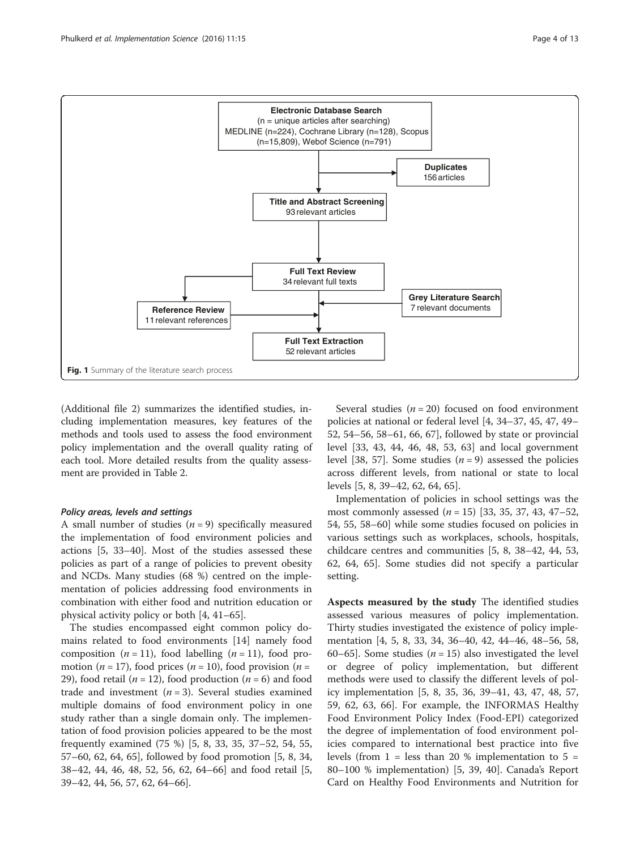<span id="page-3-0"></span>

(Additional file [2](#page-10-0)) summarizes the identified studies, including implementation measures, key features of the methods and tools used to assess the food environment policy implementation and the overall quality rating of each tool. More detailed results from the quality assessment are provided in Table [2](#page-5-0).

#### Policy areas, levels and settings

A small number of studies  $(n = 9)$  specifically measured the implementation of food environment policies and actions [[5](#page-10-0), [33](#page-11-0)–[40](#page-11-0)]. Most of the studies assessed these policies as part of a range of policies to prevent obesity and NCDs. Many studies (68 %) centred on the implementation of policies addressing food environments in combination with either food and nutrition education or physical activity policy or both [\[4,](#page-10-0) [41](#page-11-0)–[65\]](#page--1-0).

The studies encompassed eight common policy domains related to food environments [[14\]](#page-10-0) namely food composition (*n* = 11), food labelling (*n* = 11), food promotion ( $n = 17$ ), food prices ( $n = 10$ ), food provision ( $n =$ 29), food retail ( $n = 12$ ), food production ( $n = 6$ ) and food trade and investment  $(n = 3)$ . Several studies examined multiple domains of food environment policy in one study rather than a single domain only. The implementation of food provision policies appeared to be the most frequently examined (75 %) [[5](#page-10-0), [8](#page-10-0), [33, 35, 37](#page-11-0)–[52](#page-11-0), [54, 55](#page-11-0), [57](#page-11-0)–[60](#page-11-0), [62](#page-11-0), [64, 65\]](#page--1-0), followed by food promotion [\[5](#page-10-0), [8](#page-10-0), [34](#page-11-0), [38](#page-11-0)–[42](#page-11-0), [44, 46, 48](#page-11-0), [52](#page-11-0), [56, 62,](#page-11-0) [64](#page--1-0)–[66](#page--1-0)] and food retail [\[5](#page-10-0), [39](#page-11-0)–[42](#page-11-0), [44](#page-11-0), [56](#page-11-0), [57](#page-11-0), [62,](#page-11-0) [64](#page--1-0)–[66\]](#page--1-0).

Several studies ( $n = 20$ ) focused on food environment policies at national or federal level [\[4,](#page-10-0) [34](#page-11-0)–[37, 45, 47, 49](#page-11-0)– [52, 54](#page-11-0)–[56](#page-11-0), [58](#page-11-0)–[61,](#page-11-0) [66, 67\]](#page--1-0), followed by state or provincial level [[33, 43](#page-11-0), [44](#page-11-0), [46, 48](#page-11-0), [53, 63](#page-11-0)] and local government level [\[38](#page-11-0), [57\]](#page-11-0). Some studies  $(n = 9)$  assessed the policies across different levels, from national or state to local levels [\[5](#page-10-0), [8](#page-10-0), [39](#page-11-0)–[42, 62,](#page-11-0) [64](#page--1-0), [65](#page--1-0)].

Implementation of policies in school settings was the most commonly assessed  $(n = 15)$  [[33](#page-11-0), [35, 37](#page-11-0), [43](#page-11-0), [47](#page-11-0)–[52](#page-11-0), [54, 55, 58](#page-11-0)–[60\]](#page-11-0) while some studies focused on policies in various settings such as workplaces, schools, hospitals, childcare centres and communities [[5](#page-10-0), [8](#page-10-0), [38](#page-11-0)–[42, 44, 53](#page-11-0), [62,](#page-11-0) [64, 65\]](#page--1-0). Some studies did not specify a particular setting.

Aspects measured by the study The identified studies assessed various measures of policy implementation. Thirty studies investigated the existence of policy implementation [\[4](#page-10-0), [5](#page-10-0), [8,](#page-10-0) [33](#page-11-0), [34](#page-11-0), [36](#page-11-0)–[40](#page-11-0), [42](#page-11-0), [44](#page-11-0)–[46](#page-11-0), [48](#page-11-0)–[56, 58](#page-11-0), [60](#page-11-0)–[65](#page--1-0)]. Some studies ( $n = 15$ ) also investigated the level or degree of policy implementation, but different methods were used to classify the different levels of policy implementation [\[5](#page-10-0), [8](#page-10-0), [35](#page-11-0), [36](#page-11-0), [39](#page-11-0)–[41](#page-11-0), [43](#page-11-0), [47](#page-11-0), [48](#page-11-0), [57](#page-11-0), [59, 62](#page-11-0), [63,](#page-11-0) [66](#page--1-0)]. For example, the INFORMAS Healthy Food Environment Policy Index (Food-EPI) categorized the degree of implementation of food environment policies compared to international best practice into five levels (from  $1 =$  less than 20 % implementation to  $5 =$ 80–100 % implementation) [\[5](#page-10-0), [39](#page-11-0), [40](#page-11-0)]. Canada's Report Card on Healthy Food Environments and Nutrition for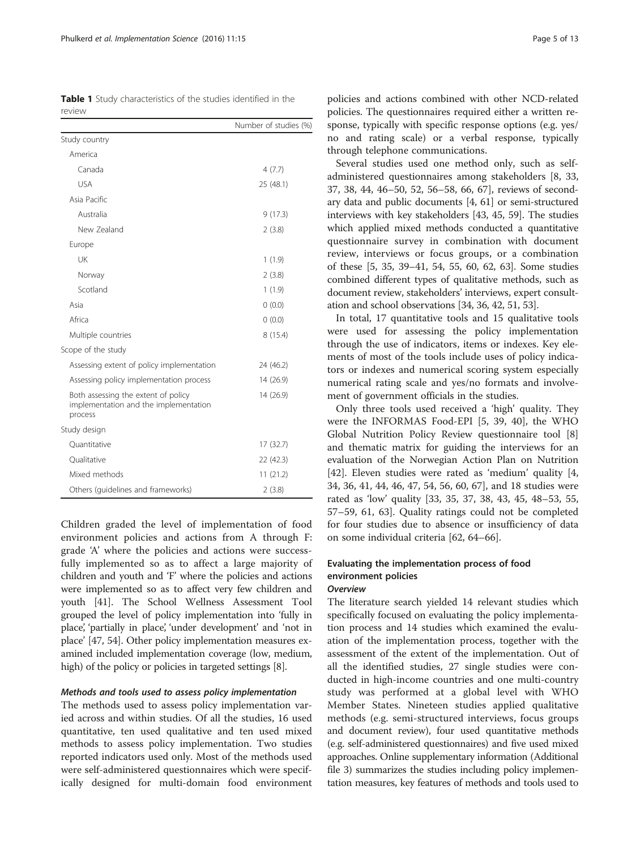<span id="page-4-0"></span>Table 1 Study characteristics of the studies identified in the review

|                                                                                         | Number of studies (%) |
|-----------------------------------------------------------------------------------------|-----------------------|
| Study country                                                                           |                       |
| America                                                                                 |                       |
| Canada                                                                                  | 4(7.7)                |
| <b>USA</b>                                                                              | 25 (48.1)             |
| Asia Pacific                                                                            |                       |
| Australia                                                                               | 9(17.3)               |
| New Zealand                                                                             | 2(3.8)                |
| Europe                                                                                  |                       |
| UK                                                                                      | 1(1.9)                |
| Norway                                                                                  | 2(3.8)                |
| Scotland                                                                                | 1(1.9)                |
| Asia                                                                                    | 0(0.0)                |
| Africa                                                                                  | 0(0.0)                |
| Multiple countries                                                                      | 8(15.4)               |
| Scope of the study                                                                      |                       |
| Assessing extent of policy implementation                                               | 24 (46.2)             |
| Assessing policy implementation process                                                 | 14 (26.9)             |
| Both assessing the extent of policy<br>implementation and the implementation<br>process | 14 (26.9)             |
| Study design                                                                            |                       |
| Ouantitative                                                                            | 17 (32.7)             |
| Oualitative                                                                             | 22 (42.3)             |
| Mixed methods                                                                           | 11(21.2)              |
| Others (guidelines and frameworks)                                                      | 2(3.8)                |

Children graded the level of implementation of food environment policies and actions from A through F: grade 'A' where the policies and actions were successfully implemented so as to affect a large majority of children and youth and 'F' where the policies and actions were implemented so as to affect very few children and youth [[41](#page-11-0)]. The School Wellness Assessment Tool grouped the level of policy implementation into 'fully in place', 'partially in place', 'under development' and 'not in place' [\[47, 54](#page-11-0)]. Other policy implementation measures examined included implementation coverage (low, medium, high) of the policy or policies in targeted settings [\[8](#page-10-0)].

#### Methods and tools used to assess policy implementation

The methods used to assess policy implementation varied across and within studies. Of all the studies, 16 used quantitative, ten used qualitative and ten used mixed methods to assess policy implementation. Two studies reported indicators used only. Most of the methods used were self-administered questionnaires which were specifically designed for multi-domain food environment

policies and actions combined with other NCD-related policies. The questionnaires required either a written response, typically with specific response options (e.g. yes/ no and rating scale) or a verbal response, typically through telephone communications.

Several studies used one method only, such as selfadministered questionnaires among stakeholders [\[8](#page-10-0), [33](#page-11-0), [37, 38, 44](#page-11-0), [46](#page-11-0)–[50, 52](#page-11-0), [56](#page-11-0)–[58](#page-11-0), [66, 67](#page--1-0)], reviews of secondary data and public documents [\[4,](#page-10-0) [61\]](#page-11-0) or semi-structured interviews with key stakeholders [[43, 45, 59\]](#page-11-0). The studies which applied mixed methods conducted a quantitative questionnaire survey in combination with document review, interviews or focus groups, or a combination of these [\[5](#page-10-0), [35, 39](#page-11-0)–[41](#page-11-0), [54](#page-11-0), [55, 60, 62](#page-11-0), [63](#page-11-0)]. Some studies combined different types of qualitative methods, such as document review, stakeholders' interviews, expert consultation and school observations [\[34, 36](#page-11-0), [42, 51, 53](#page-11-0)].

In total, 17 quantitative tools and 15 qualitative tools were used for assessing the policy implementation through the use of indicators, items or indexes. Key elements of most of the tools include uses of policy indicators or indexes and numerical scoring system especially numerical rating scale and yes/no formats and involvement of government officials in the studies.

Only three tools used received a 'high' quality. They were the INFORMAS Food-EPI [[5,](#page-10-0) [39](#page-11-0), [40\]](#page-11-0), the WHO Global Nutrition Policy Review questionnaire tool [\[8](#page-10-0)] and thematic matrix for guiding the interviews for an evaluation of the Norwegian Action Plan on Nutrition [[42\]](#page-11-0). Eleven studies were rated as 'medium' quality [\[4](#page-10-0), [34, 36](#page-11-0), [41](#page-11-0), [44](#page-11-0), [46](#page-11-0), [47](#page-11-0), [54](#page-11-0), [56](#page-11-0), [60](#page-11-0), [67\]](#page--1-0), and 18 studies were rated as 'low' quality [\[33, 35, 37, 38, 43, 45, 48](#page-11-0)–[53](#page-11-0), [55](#page-11-0), [57](#page-11-0)–[59](#page-11-0), [61](#page-11-0), [63](#page-11-0)]. Quality ratings could not be completed for four studies due to absence or insufficiency of data on some individual criteria [[62,](#page-11-0) [64](#page--1-0)–[66](#page--1-0)].

# Evaluating the implementation process of food environment policies

## **Overview**

The literature search yielded 14 relevant studies which specifically focused on evaluating the policy implementation process and 14 studies which examined the evaluation of the implementation process, together with the assessment of the extent of the implementation. Out of all the identified studies, 27 single studies were conducted in high-income countries and one multi-country study was performed at a global level with WHO Member States. Nineteen studies applied qualitative methods (e.g. semi-structured interviews, focus groups and document review), four used quantitative methods (e.g. self-administered questionnaires) and five used mixed approaches. Online supplementary information (Additional file [3\)](#page-10-0) summarizes the studies including policy implementation measures, key features of methods and tools used to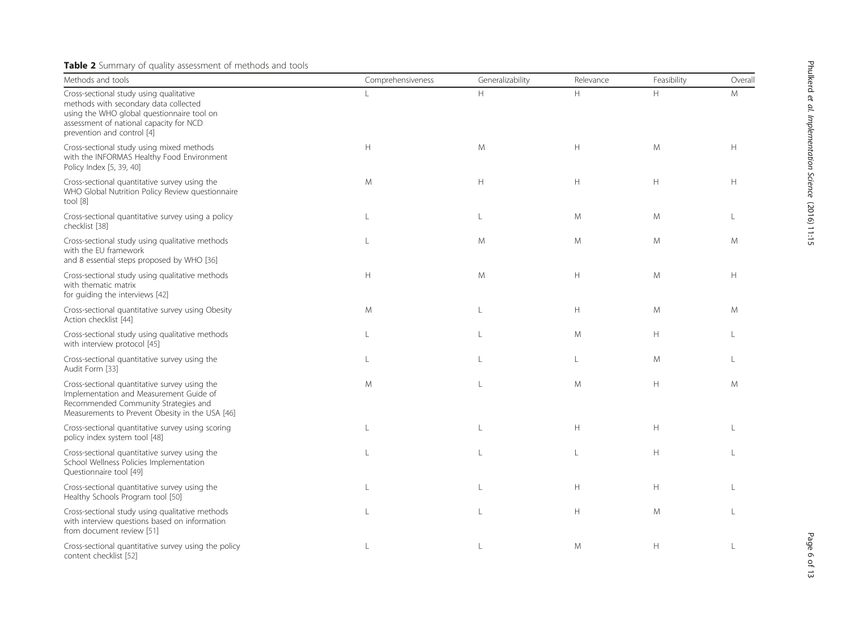# <span id="page-5-0"></span>Table 2 Summary of quality assessment of methods and tools

| Methods and tools                                                                                                                                                                                       | Comprehensiveness | Generalizability | Relevance    | Feasibility | Overall      |
|---------------------------------------------------------------------------------------------------------------------------------------------------------------------------------------------------------|-------------------|------------------|--------------|-------------|--------------|
| Cross-sectional study using qualitative<br>methods with secondary data collected<br>using the WHO global questionnaire tool on<br>assessment of national capacity for NCD<br>prevention and control [4] |                   | H                | H            | H           | M            |
| Cross-sectional study using mixed methods<br>with the INFORMAS Healthy Food Environment<br>Policy Index [5, 39, 40]                                                                                     | H                 | M                | H            | M           | H            |
| Cross-sectional quantitative survey using the<br>WHO Global Nutrition Policy Review questionnaire<br>tool $[8]$                                                                                         | M                 | H                | H            | H           | H            |
| Cross-sectional quantitative survey using a policy<br>checklist [38]                                                                                                                                    | $\mathbf{I}$      | L                | M            | M           |              |
| Cross-sectional study using qualitative methods<br>with the EU framework<br>and 8 essential steps proposed by WHO [36]                                                                                  | $\mathbf{I}$      | M                | M            | M           | M            |
| Cross-sectional study using qualitative methods<br>with thematic matrix<br>for guiding the interviews [42]                                                                                              | H                 | M                | H            | M           | H            |
| Cross-sectional quantitative survey using Obesity<br>Action checklist [44]                                                                                                                              | M                 | $\mathbf{I}$     | H            | M           | M            |
| Cross-sectional study using qualitative methods<br>with interview protocol [45]                                                                                                                         | $\mathbf{I}$      | $\mathbf{I}$     | M            | Н           |              |
| Cross-sectional quantitative survey using the<br>Audit Form [33]                                                                                                                                        | L                 | $\mathbf{I}$     | $\mathbf{L}$ | M           | $\mathbf{I}$ |
| Cross-sectional quantitative survey using the<br>Implementation and Measurement Guide of<br>Recommended Community Strategies and<br>Measurements to Prevent Obesity in the USA [46]                     | M                 | $\mathbf{L}$     | M            | H           | M            |
| Cross-sectional quantitative survey using scoring<br>policy index system tool [48]                                                                                                                      |                   | $\mathbf{L}$     | H            | H           |              |
| Cross-sectional quantitative survey using the<br>School Wellness Policies Implementation<br>Questionnaire tool [49]                                                                                     |                   | $\mathbf{L}$     | $\mathbf{L}$ | H           |              |
| Cross-sectional quantitative survey using the<br>Healthy Schools Program tool [50]                                                                                                                      |                   | $\mathbf{I}$     | H            | H           |              |
| Cross-sectional study using qualitative methods<br>with interview questions based on information<br>from document review [51]                                                                           | $\mathbf{I}$      | $\mathbf{I}$     | H            | M           |              |
| Cross-sectional quantitative survey using the policy<br>content checklist [52]                                                                                                                          |                   |                  | M            | H           |              |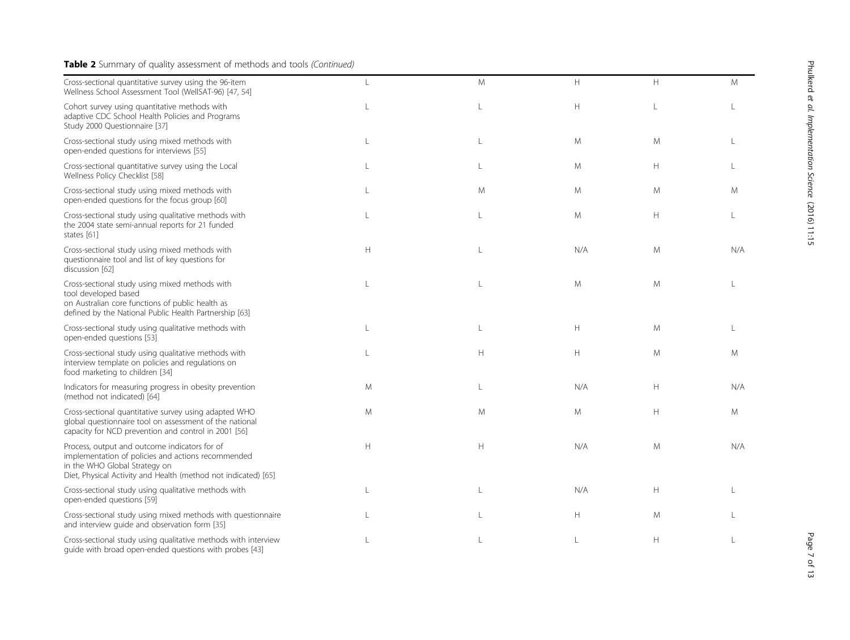# Table 2 Summary of quality assessment of methods and tools (Continued)

| Cross-sectional quantitative survey using the 96-item<br>Wellness School Assessment Tool (WellSAT-96) [47, 54]                                                                                         | $\mathbf{L}$ | M            | H   | H            | M   |
|--------------------------------------------------------------------------------------------------------------------------------------------------------------------------------------------------------|--------------|--------------|-----|--------------|-----|
| Cohort survey using quantitative methods with<br>adaptive CDC School Health Policies and Programs<br>Study 2000 Questionnaire [37]                                                                     | $\mathbf{L}$ | $\mathbf{L}$ | H   | $\mathsf{L}$ |     |
| Cross-sectional study using mixed methods with<br>open-ended questions for interviews [55]                                                                                                             | L            | L            | M   | M            |     |
| Cross-sectional quantitative survey using the Local<br>Wellness Policy Checklist [58]                                                                                                                  | $\mathbf{I}$ | L            | M   | H            |     |
| Cross-sectional study using mixed methods with<br>open-ended questions for the focus group [60]                                                                                                        | $\mathbf{L}$ | M            | M   | M            | M   |
| Cross-sectional study using qualitative methods with<br>the 2004 state semi-annual reports for 21 funded<br>states [61]                                                                                |              | L            | M   | $\mathsf{H}$ |     |
| Cross-sectional study using mixed methods with<br>questionnaire tool and list of key questions for<br>discussion [62]                                                                                  | H            | $\mathbf{L}$ | N/A | M            | N/A |
| Cross-sectional study using mixed methods with<br>tool developed based<br>on Australian core functions of public health as<br>defined by the National Public Health Partnership [63]                   | $\mathsf{L}$ | $\mathsf{L}$ | M   | M            |     |
| Cross-sectional study using qualitative methods with<br>open-ended questions [53]                                                                                                                      |              | L            | H   | M            |     |
| Cross-sectional study using qualitative methods with<br>interview template on policies and regulations on<br>food marketing to children [34]                                                           |              | H            | H   | M            | M   |
| Indicators for measuring progress in obesity prevention<br>(method not indicated) [64]                                                                                                                 | M            | $\mathsf{L}$ | N/A | Н            | N/A |
| Cross-sectional quantitative survey using adapted WHO<br>global questionnaire tool on assessment of the national<br>capacity for NCD prevention and control in 2001 [56]                               | M            | M            | M   | Н            | M   |
| Process, output and outcome indicators for of<br>implementation of policies and actions recommended<br>in the WHO Global Strategy on<br>Diet, Physical Activity and Health (method not indicated) [65] | H            | H            | N/A | M            | N/A |
| Cross-sectional study using qualitative methods with<br>open-ended questions [59]                                                                                                                      |              | L            | N/A | Н            |     |
| Cross-sectional study using mixed methods with questionnaire<br>and interview guide and observation form [35]                                                                                          |              | L            | H   | M            |     |
| Cross-sectional study using qualitative methods with interview<br>guide with broad open-ended questions with probes [43]                                                                               |              | L            | L   | H            |     |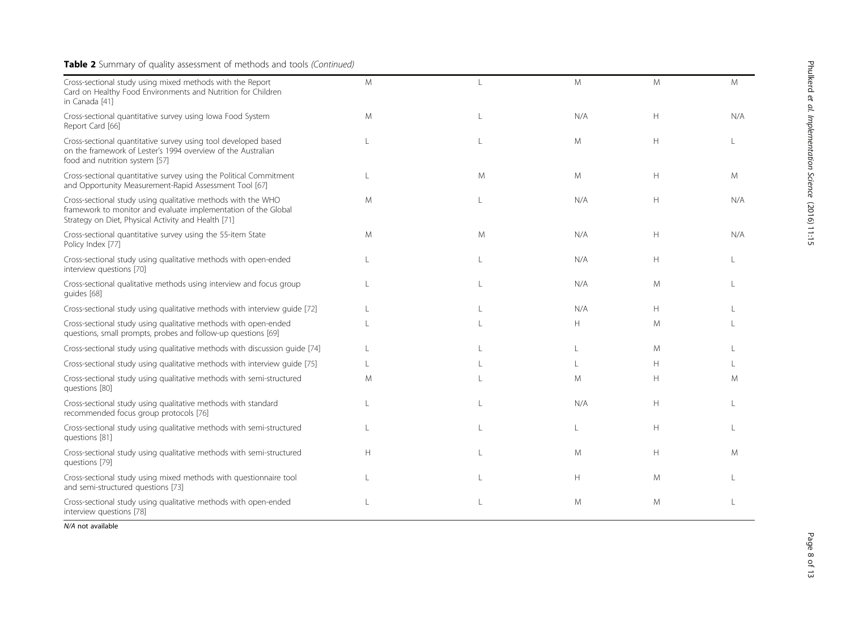# Table 2 Summary of quality assessment of methods and tools (Continued)

| Cross-sectional study using mixed methods with the Report<br>Card on Healthy Food Environments and Nutrition for Children<br>in Canada [41]                                           | M |   | M   | M | M   |
|---------------------------------------------------------------------------------------------------------------------------------------------------------------------------------------|---|---|-----|---|-----|
| Cross-sectional quantitative survey using lowa Food System<br>Report Card [66]                                                                                                        | M |   | N/A | Н | N/A |
| Cross-sectional quantitative survey using tool developed based<br>on the framework of Lester's 1994 overview of the Australian<br>food and nutrition system [57]                      |   |   | M   | H |     |
| Cross-sectional quantitative survey using the Political Commitment<br>and Opportunity Measurement-Rapid Assessment Tool [67]                                                          |   | M | M   | Н | M   |
| Cross-sectional study using qualitative methods with the WHO<br>framework to monitor and evaluate implementation of the Global<br>Strategy on Diet, Physical Activity and Health [71] | M |   | N/A | Н | N/A |
| Cross-sectional quantitative survey using the 55-item State<br>Policy Index [77]                                                                                                      | M | M | N/A | Н | N/A |
| Cross-sectional study using qualitative methods with open-ended<br>interview questions [70]                                                                                           |   |   | N/A | H |     |
| Cross-sectional qualitative methods using interview and focus group<br>quides [68]                                                                                                    |   |   | N/A | M |     |
| Cross-sectional study using qualitative methods with interview guide [72]                                                                                                             |   |   | N/A | H |     |
| Cross-sectional study using qualitative methods with open-ended<br>questions, small prompts, probes and follow-up questions [69]                                                      |   |   | H   | M |     |
| Cross-sectional study using qualitative methods with discussion guide [74]                                                                                                            |   |   |     | M |     |
| Cross-sectional study using qualitative methods with interview quide [75]                                                                                                             |   |   |     | H |     |
| Cross-sectional study using qualitative methods with semi-structured<br>questions [80]                                                                                                | M |   | M   | Н | M   |
| Cross-sectional study using qualitative methods with standard<br>recommended focus group protocols [76]                                                                               |   |   | N/A | H |     |
| Cross-sectional study using qualitative methods with semi-structured<br>questions [81]                                                                                                |   |   |     | H |     |
| Cross-sectional study using qualitative methods with semi-structured<br>questions [79]                                                                                                | H |   | M   | H | M   |
| Cross-sectional study using mixed methods with questionnaire tool<br>and semi-structured questions [73]                                                                               |   |   | H   | M |     |
| Cross-sectional study using qualitative methods with open-ended<br>interview questions [78]                                                                                           |   |   | M   | M |     |

N/A not available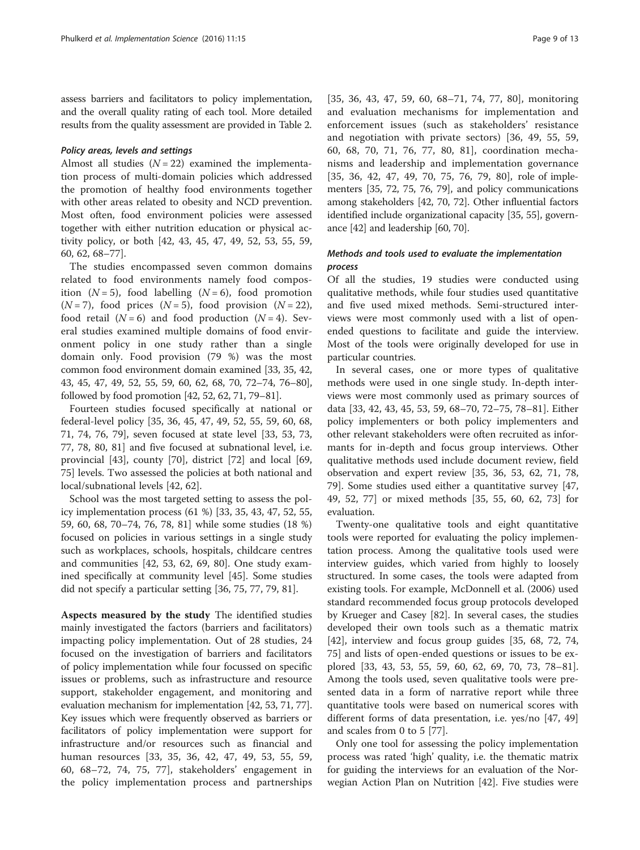assess barriers and facilitators to policy implementation, and the overall quality rating of each tool. More detailed results from the quality assessment are provided in Table [2](#page-5-0).

#### Policy areas, levels and settings

Almost all studies  $(N = 22)$  examined the implementation process of multi-domain policies which addressed the promotion of healthy food environments together with other areas related to obesity and NCD prevention. Most often, food environment policies were assessed together with either nutrition education or physical activity policy, or both [\[42](#page-11-0), [43](#page-11-0), [45](#page-11-0), [47](#page-11-0), [49](#page-11-0), [52](#page-11-0), [53](#page-11-0), [55](#page-11-0), [59](#page-11-0), [60, 62](#page-11-0), [68](#page--1-0)–[77](#page--1-0)].

The studies encompassed seven common domains related to food environments namely food composition  $(N = 5)$ , food labelling  $(N = 6)$ , food promotion  $(N=7)$ , food prices  $(N=5)$ , food provision  $(N=22)$ , food retail  $(N = 6)$  and food production  $(N = 4)$ . Several studies examined multiple domains of food environment policy in one study rather than a single domain only. Food provision (79 %) was the most common food environment domain examined [\[33, 35, 42](#page-11-0), [43](#page-11-0), [45, 47, 49](#page-11-0), [52, 55, 59](#page-11-0), [60, 62,](#page-11-0) [68](#page--1-0), [70, 72](#page--1-0)–[74](#page--1-0), [76](#page--1-0)–[80](#page--1-0)], followed by food promotion [\[42, 52](#page-11-0), [62,](#page-11-0) [71, 79](#page--1-0)–[81\]](#page--1-0).

Fourteen studies focused specifically at national or federal-level policy [\[35](#page-11-0), [36, 45, 47](#page-11-0), [49, 52, 55](#page-11-0), [59, 60](#page-11-0), [68](#page--1-0), [71, 74, 76, 79\]](#page--1-0), seven focused at state level [\[33](#page-11-0), [53](#page-11-0), [73](#page--1-0), [77, 78](#page--1-0), [80, 81\]](#page--1-0) and five focused at subnational level, i.e. provincial [[43](#page-11-0)], county [[70](#page--1-0)], district [\[72](#page--1-0)] and local [[69](#page--1-0), [75\]](#page--1-0) levels. Two assessed the policies at both national and local/subnational levels [[42, 62\]](#page-11-0).

School was the most targeted setting to assess the policy implementation process (61 %) [\[33, 35, 43, 47, 52](#page-11-0), [55](#page-11-0), [59, 60](#page-11-0), [68, 70](#page--1-0)–[74, 76](#page--1-0), [78, 81](#page--1-0)] while some studies (18 %) focused on policies in various settings in a single study such as workplaces, schools, hospitals, childcare centres and communities [[42, 53](#page-11-0), [62](#page-11-0), [69, 80\]](#page--1-0). One study examined specifically at community level [[45\]](#page-11-0). Some studies did not specify a particular setting [[36,](#page-11-0) [75, 77, 79](#page--1-0), [81](#page--1-0)].

Aspects measured by the study The identified studies mainly investigated the factors (barriers and facilitators) impacting policy implementation. Out of 28 studies, 24 focused on the investigation of barriers and facilitators of policy implementation while four focussed on specific issues or problems, such as infrastructure and resource support, stakeholder engagement, and monitoring and evaluation mechanism for implementation [\[42](#page-11-0), [53](#page-11-0), [71, 77](#page--1-0)]. Key issues which were frequently observed as barriers or facilitators of policy implementation were support for infrastructure and/or resources such as financial and human resources [[33, 35](#page-11-0), [36, 42](#page-11-0), [47, 49, 53, 55, 59](#page-11-0), [60,](#page-11-0) [68](#page--1-0)–[72, 74, 75](#page--1-0), [77](#page--1-0)], stakeholders' engagement in the policy implementation process and partnerships

[[35, 36](#page-11-0), [43, 47](#page-11-0), [59, 60](#page-11-0), [68](#page--1-0)–[71, 74](#page--1-0), [77, 80](#page--1-0)], monitoring and evaluation mechanisms for implementation and enforcement issues (such as stakeholders' resistance and negotiation with private sectors) [[36, 49, 55](#page-11-0), [59](#page-11-0), [60,](#page-11-0) [68](#page--1-0), [70](#page--1-0), [71, 76](#page--1-0), [77, 80, 81](#page--1-0)], coordination mechanisms and leadership and implementation governance [[35, 36](#page-11-0), [42](#page-11-0), [47](#page-11-0), [49](#page-11-0), [70](#page--1-0), [75, 76, 79, 80\]](#page--1-0), role of implementers [\[35,](#page-11-0) [72](#page--1-0), [75](#page--1-0), [76, 79](#page--1-0)], and policy communications among stakeholders [[42](#page-11-0), [70, 72\]](#page--1-0). Other influential factors identified include organizational capacity [\[35, 55\]](#page-11-0), governance [[42](#page-11-0)] and leadership [[60](#page-11-0), [70\]](#page--1-0).

## Methods and tools used to evaluate the implementation process

Of all the studies, 19 studies were conducted using qualitative methods, while four studies used quantitative and five used mixed methods. Semi-structured interviews were most commonly used with a list of openended questions to facilitate and guide the interview. Most of the tools were originally developed for use in particular countries.

In several cases, one or more types of qualitative methods were used in one single study. In-depth interviews were most commonly used as primary sources of data [\[33, 42](#page-11-0), [43](#page-11-0), [45](#page-11-0), [53](#page-11-0), [59](#page-11-0), [68](#page--1-0)–[70, 72](#page--1-0)–[75, 78](#page--1-0)–[81\]](#page--1-0). Either policy implementers or both policy implementers and other relevant stakeholders were often recruited as informants for in-depth and focus group interviews. Other qualitative methods used include document review, field observation and expert review [\[35](#page-11-0), [36, 53, 62,](#page-11-0) [71, 78](#page--1-0), [79\]](#page--1-0). Some studies used either a quantitative survey [[47](#page-11-0), [49, 52](#page-11-0), [77\]](#page--1-0) or mixed methods [\[35](#page-11-0), [55, 60, 62](#page-11-0), [73](#page--1-0)] for evaluation.

Twenty-one qualitative tools and eight quantitative tools were reported for evaluating the policy implementation process. Among the qualitative tools used were interview guides, which varied from highly to loosely structured. In some cases, the tools were adapted from existing tools. For example, McDonnell et al. (2006) used standard recommended focus group protocols developed by Krueger and Casey [[82\]](#page--1-0). In several cases, the studies developed their own tools such as a thematic matrix [[42\]](#page-11-0), interview and focus group guides [\[35](#page-11-0), [68, 72, 74](#page--1-0), [75\]](#page--1-0) and lists of open-ended questions or issues to be explored [[33, 43, 53, 55](#page-11-0), [59](#page-11-0), [60](#page-11-0), [62](#page-11-0), [69, 70, 73, 78](#page--1-0)–[81](#page--1-0)]. Among the tools used, seven qualitative tools were presented data in a form of narrative report while three quantitative tools were based on numerical scores with different forms of data presentation, i.e. yes/no [[47](#page-11-0), [49](#page-11-0)] and scales from 0 to 5 [[77\]](#page--1-0).

Only one tool for assessing the policy implementation process was rated 'high' quality, i.e. the thematic matrix for guiding the interviews for an evaluation of the Norwegian Action Plan on Nutrition [[42](#page-11-0)]. Five studies were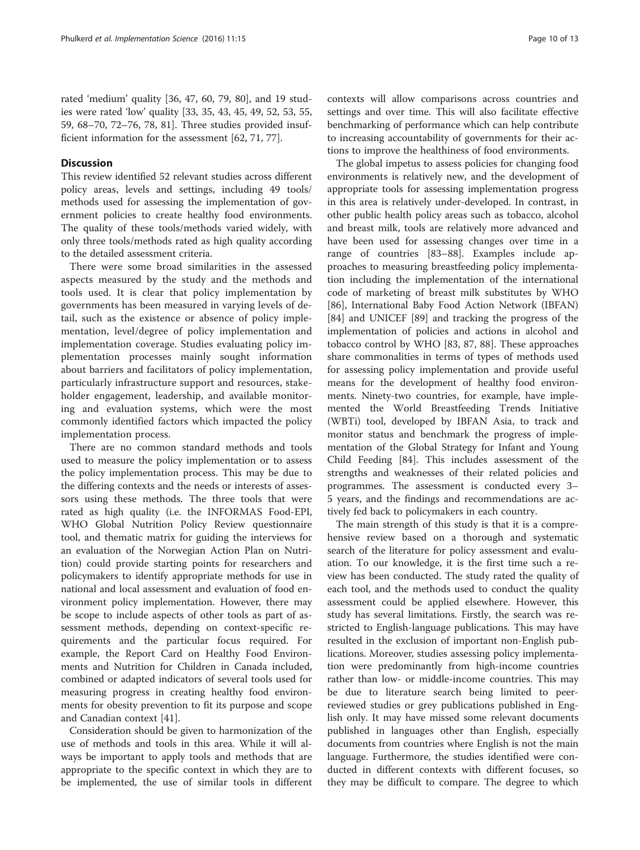rated 'medium' quality [[36, 47](#page-11-0), [60,](#page-11-0) [79](#page--1-0), [80\]](#page--1-0), and 19 studies were rated 'low' quality [[33](#page-11-0), [35, 43, 45, 49, 52](#page-11-0), [53](#page-11-0), [55](#page-11-0), [59,](#page-11-0) [68](#page--1-0)–[70, 72](#page--1-0)–[76, 78](#page--1-0), [81\]](#page--1-0). Three studies provided insufficient information for the assessment [\[62,](#page-11-0) [71, 77\]](#page--1-0).

#### **Discussion**

This review identified 52 relevant studies across different policy areas, levels and settings, including 49 tools/ methods used for assessing the implementation of government policies to create healthy food environments. The quality of these tools/methods varied widely, with only three tools/methods rated as high quality according to the detailed assessment criteria.

There were some broad similarities in the assessed aspects measured by the study and the methods and tools used. It is clear that policy implementation by governments has been measured in varying levels of detail, such as the existence or absence of policy implementation, level/degree of policy implementation and implementation coverage. Studies evaluating policy implementation processes mainly sought information about barriers and facilitators of policy implementation, particularly infrastructure support and resources, stakeholder engagement, leadership, and available monitoring and evaluation systems, which were the most commonly identified factors which impacted the policy implementation process.

There are no common standard methods and tools used to measure the policy implementation or to assess the policy implementation process. This may be due to the differing contexts and the needs or interests of assessors using these methods. The three tools that were rated as high quality (i.e. the INFORMAS Food-EPI, WHO Global Nutrition Policy Review questionnaire tool, and thematic matrix for guiding the interviews for an evaluation of the Norwegian Action Plan on Nutrition) could provide starting points for researchers and policymakers to identify appropriate methods for use in national and local assessment and evaluation of food environment policy implementation. However, there may be scope to include aspects of other tools as part of assessment methods, depending on context-specific requirements and the particular focus required. For example, the Report Card on Healthy Food Environments and Nutrition for Children in Canada included, combined or adapted indicators of several tools used for measuring progress in creating healthy food environments for obesity prevention to fit its purpose and scope and Canadian context [[41](#page-11-0)].

Consideration should be given to harmonization of the use of methods and tools in this area. While it will always be important to apply tools and methods that are appropriate to the specific context in which they are to be implemented, the use of similar tools in different contexts will allow comparisons across countries and settings and over time. This will also facilitate effective benchmarking of performance which can help contribute to increasing accountability of governments for their actions to improve the healthiness of food environments.

The global impetus to assess policies for changing food environments is relatively new, and the development of appropriate tools for assessing implementation progress in this area is relatively under-developed. In contrast, in other public health policy areas such as tobacco, alcohol and breast milk, tools are relatively more advanced and have been used for assessing changes over time in a range of countries [\[83](#page--1-0)–[88\]](#page--1-0). Examples include approaches to measuring breastfeeding policy implementation including the implementation of the international code of marketing of breast milk substitutes by WHO [[86\]](#page--1-0), International Baby Food Action Network (IBFAN) [[84\]](#page--1-0) and UNICEF [[89\]](#page--1-0) and tracking the progress of the implementation of policies and actions in alcohol and tobacco control by WHO [\[83](#page--1-0), [87](#page--1-0), [88\]](#page--1-0). These approaches share commonalities in terms of types of methods used for assessing policy implementation and provide useful means for the development of healthy food environments. Ninety-two countries, for example, have implemented the World Breastfeeding Trends Initiative (WBTi) tool, developed by IBFAN Asia, to track and monitor status and benchmark the progress of implementation of the Global Strategy for Infant and Young Child Feeding [\[84](#page--1-0)]. This includes assessment of the strengths and weaknesses of their related policies and programmes. The assessment is conducted every 3– 5 years, and the findings and recommendations are actively fed back to policymakers in each country.

The main strength of this study is that it is a comprehensive review based on a thorough and systematic search of the literature for policy assessment and evaluation. To our knowledge, it is the first time such a review has been conducted. The study rated the quality of each tool, and the methods used to conduct the quality assessment could be applied elsewhere. However, this study has several limitations. Firstly, the search was restricted to English-language publications. This may have resulted in the exclusion of important non-English publications. Moreover, studies assessing policy implementation were predominantly from high-income countries rather than low- or middle-income countries. This may be due to literature search being limited to peerreviewed studies or grey publications published in English only. It may have missed some relevant documents published in languages other than English, especially documents from countries where English is not the main language. Furthermore, the studies identified were conducted in different contexts with different focuses, so they may be difficult to compare. The degree to which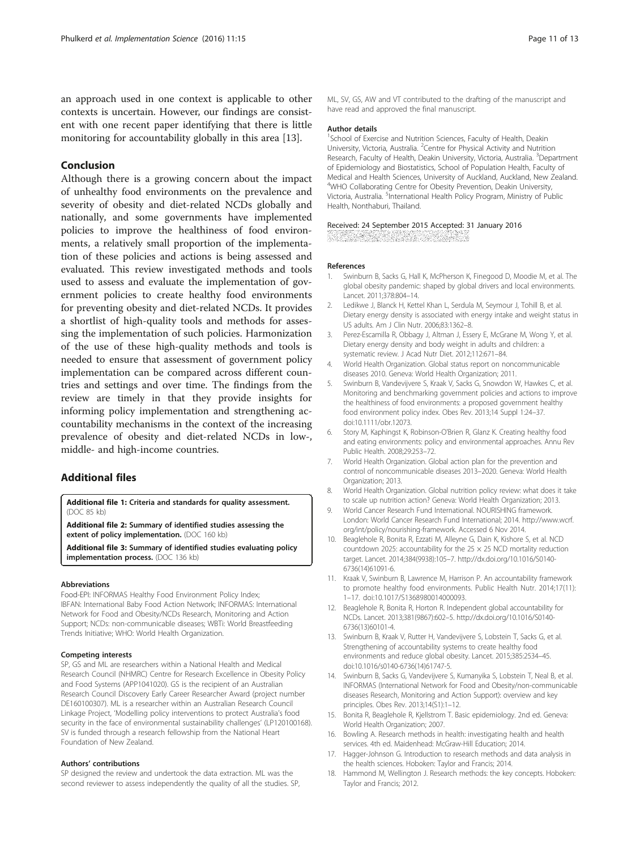<span id="page-10-0"></span>an approach used in one context is applicable to other contexts is uncertain. However, our findings are consistent with one recent paper identifying that there is little monitoring for accountability globally in this area [13].

## Conclusion

Although there is a growing concern about the impact of unhealthy food environments on the prevalence and severity of obesity and diet-related NCDs globally and nationally, and some governments have implemented policies to improve the healthiness of food environments, a relatively small proportion of the implementation of these policies and actions is being assessed and evaluated. This review investigated methods and tools used to assess and evaluate the implementation of government policies to create healthy food environments for preventing obesity and diet-related NCDs. It provides a shortlist of high-quality tools and methods for assessing the implementation of such policies. Harmonization of the use of these high-quality methods and tools is needed to ensure that assessment of government policy implementation can be compared across different countries and settings and over time. The findings from the review are timely in that they provide insights for informing policy implementation and strengthening accountability mechanisms in the context of the increasing prevalence of obesity and diet-related NCDs in low-, middle- and high-income countries.

## Additional files

[Additional file 1:](dx.doi.org/10.1186/s13012-016-0379-5) Criteria and standards for quality assessment. (DOC 85 kb)

[Additional file 2:](dx.doi.org/10.1186/s13012-016-0379-5) Summary of identified studies assessing the extent of policy implementation. (DOC 160 kb)

[Additional file 3:](dx.doi.org/10.1186/s13012-016-0379-5) Summary of identified studies evaluating policy implementation process. (DOC 136 kb)

#### **Abbreviations**

Food-EPI: INFORMAS Healthy Food Environment Policy Index; IBFAN: International Baby Food Action Network; INFORMAS: International Network for Food and Obesity/NCDs Research, Monitoring and Action Support; NCDs: non-communicable diseases; WBTi: World Breastfeeding Trends Initiative; WHO: World Health Organization.

#### Competing interests

SP, GS and ML are researchers within a National Health and Medical Research Council (NHMRC) Centre for Research Excellence in Obesity Policy and Food Systems (APP1041020). GS is the recipient of an Australian Research Council Discovery Early Career Researcher Award (project number DE160100307). ML is a researcher within an Australian Research Council Linkage Project, 'Modelling policy interventions to protect Australia's food security in the face of environmental sustainability challenges' (LP120100168). SV is funded through a research fellowship from the National Heart Foundation of New Zealand.

#### Authors' contributions

SP designed the review and undertook the data extraction. ML was the second reviewer to assess independently the quality of all the studies. SP,

ML, SV, GS, AW and VT contributed to the drafting of the manuscript and have read and approved the final manuscript.

#### Author details

<sup>1</sup>School of Exercise and Nutrition Sciences, Faculty of Health, Deakin University, Victoria, Australia. <sup>2</sup> Centre for Physical Activity and Nutrition Research, Faculty of Health, Deakin University, Victoria, Australia. <sup>3</sup>Department of Epidemiology and Biostatistics, School of Population Health, Faculty of Medical and Health Sciences, University of Auckland, Auckland, New Zealand. <sup>4</sup>WHO Collaborating Centre for Obesity Prevention, Deakin University Victoria, Australia. <sup>5</sup>International Health Policy Program, Ministry of Public Health, Nonthaburi, Thailand.

#### Received: 24 September 2015 Accepted: 31 January 2016

#### References

- 1. Swinburn B, Sacks G, Hall K, McPherson K, Finegood D, Moodie M, et al. The global obesity pandemic: shaped by global drivers and local environments. Lancet. 2011;378:804–14.
- 2. Ledikwe J, Blanck H, Kettel Khan L, Serdula M, Seymour J, Tohill B, et al. Dietary energy density is associated with energy intake and weight status in US adults. Am J Clin Nutr. 2006;83:1362–8.
- 3. Perez-Escamilla R, Obbagy J, Altman J, Essery E, McGrane M, Wong Y, et al. Dietary energy density and body weight in adults and children: a systematic review. J Acad Nutr Diet. 2012;112:671–84.
- 4. World Health Organization. Global status report on noncommunicable diseases 2010. Geneva: World Health Organization; 2011.
- 5. Swinburn B, Vandevijvere S, Kraak V, Sacks G, Snowdon W, Hawkes C, et al. Monitoring and benchmarking government policies and actions to improve the healthiness of food environments: a proposed government healthy food environment policy index. Obes Rev. 2013;14 Suppl 1:24–37. doi[:10.1111/obr.12073](http://dx.doi.org/10.1111/obr.12073).
- 6. Story M, Kaphingst K, Robinson-O'Brien R, Glanz K. Creating healthy food and eating environments: policy and environmental approaches. Annu Rev Public Health. 2008;29:253–72.
- 7. World Health Organization. Global action plan for the prevention and control of noncommunicable diseases 2013–2020. Geneva: World Health Organization; 2013.
- 8. World Health Organization. Global nutrition policy review: what does it take to scale up nutrition action? Geneva: World Health Organization; 2013.
- 9. World Cancer Research Fund International. NOURISHING framework. London: World Cancer Research Fund International; 2014. [http://www.wcrf.](http://www.wcrf.org/int/policy/nourishing-framework) [org/int/policy/nourishing-framework.](http://www.wcrf.org/int/policy/nourishing-framework) Accessed 6 Nov 2014.
- 10. Beaglehole R, Bonita R, Ezzati M, Alleyne G, Dain K, Kishore S, et al. NCD countdown 2025: accountability for the 25  $\times$  25 NCD mortality reduction target. Lancet. 2014;384(9938):105–7. [http://dx.doi.org/10.1016/S0140-](http://dx.doi.org/10.1016/S0140-6736(14)61091-6) [6736\(14\)61091-6](http://dx.doi.org/10.1016/S0140-6736(14)61091-6).
- 11. Kraak V, Swinburn B, Lawrence M, Harrison P. An accountability framework to promote healthy food environments. Public Health Nutr. 2014;17(11): 1–17. doi:[10.1017/S1368980014000093.](http://dx.doi.org/10.1017/S1368980014000093)
- 12. Beaglehole R, Bonita R, Horton R. Independent global accountability for NCDs. Lancet. 2013;381(9867):602–5. [http://dx.doi.org/10.1016/S0140-](http://dx.doi.org/10.1016/S0140-6736(13)60101-4) [6736\(13\)60101-4](http://dx.doi.org/10.1016/S0140-6736(13)60101-4).
- 13. Swinburn B, Kraak V, Rutter H, Vandevijvere S, Lobstein T, Sacks G, et al. Strengthening of accountability systems to create healthy food environments and reduce global obesity. Lancet. 2015;385:2534–45. doi[:10.1016/s0140-6736\(14\)61747-5](http://dx.doi.org/10.1016/s0140-6736(14)61747-5).
- 14. Swinburn B, Sacks G, Vandevijvere S, Kumanyika S, Lobstein T, Neal B, et al. INFORMAS (International Network for Food and Obesity/non-communicable diseases Research, Monitoring and Action Support): overview and key principles. Obes Rev. 2013;14(S1):1–12.
- 15. Bonita R, Beaglehole R, Kjellstrom T. Basic epidemiology. 2nd ed. Geneva: World Health Organization; 2007.
- 16. Bowling A. Research methods in health: investigating health and health services. 4th ed. Maidenhead: McGraw-Hill Education; 2014.
- 17. Hagger-Johnson G. Introduction to research methods and data analysis in the health sciences. Hoboken: Taylor and Francis; 2014.
- 18. Hammond M, Wellington J. Research methods: the key concepts. Hoboken: Taylor and Francis; 2012.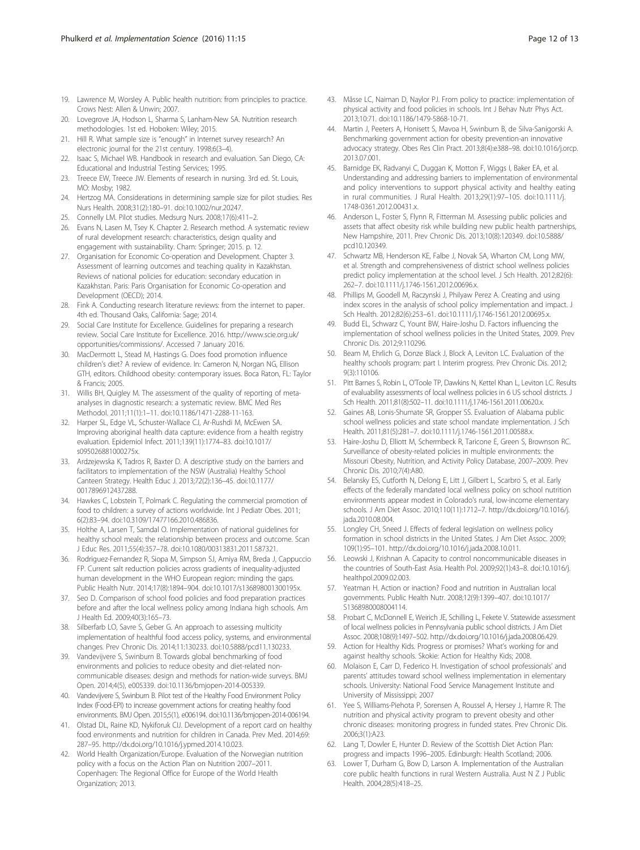- <span id="page-11-0"></span>19. Lawrence M, Worsley A. Public health nutrition: from principles to practice. Crows Nest: Allen & Unwin; 2007.
- 20. Lovegrove JA, Hodson L, Sharma S, Lanham-New SA. Nutrition research methodologies. 1st ed. Hoboken: Wiley; 2015.
- 21. Hill R. What sample size is "enough" in Internet survey research? An electronic journal for the 21st century. 1998;6(3–4).
- 22. Isaac S, Michael WB. Handbook in research and evaluation. San Diego, CA: Educational and Industrial Testing Services; 1995.
- 23. Treece EW, Treece JW. Elements of research in nursing. 3rd ed. St. Louis, MO: Mosby; 1982.
- 24. Hertzog MA. Considerations in determining sample size for pilot studies. Res Nurs Health. 2008;31(2):180–91. doi:[10.1002/nur.20247.](http://dx.doi.org/10.1002/nur.20247)
- 25. Connelly LM. Pilot studies. Medsurg Nurs. 2008;17(6):411–2.
- 26. Evans N, Lasen M, Tsey K. Chapter 2. Research method. A systematic review of rural development research: characteristics, design quality and engagement with sustainability. Cham: Springer; 2015. p. 12.
- 27. Organisation for Economic Co-operation and Development. Chapter 3. Assessment of learning outcomes and teaching quality in Kazakhstan. Reviews of national policies for education: secondary education in Kazakhstan. Paris: Paris Organisation for Economic Co-operation and Development (OECD); 2014.
- 28. Fink A. Conducting research literature reviews: from the internet to paper. 4th ed. Thousand Oaks, California: Sage; 2014.
- 29. Social Care Institute for Excellence. Guidelines for preparing a research review. Social Care Institute for Excellence. 2016. [http://www.scie.org.uk/](http://www.scie.org.uk/opportunities/commissions/) [opportunities/commissions/.](http://www.scie.org.uk/opportunities/commissions/) Accessed 7 January 2016.
- 30. MacDermott L, Stead M, Hastings G. Does food promotion influence children's diet? A review of evidence. In: Cameron N, Norgan NG, Ellison GTH, editors. Childhood obesity: contemporary issues. Boca Raton, FL: Taylor & Francis; 2005.
- 31. Willis BH, Quigley M. The assessment of the quality of reporting of metaanalyses in diagnostic research: a systematic review. BMC Med Res Methodol. 2011;11(1):1–11. doi[:10.1186/1471-2288-11-163.](http://dx.doi.org/10.1186/1471-2288-11-163)
- 32. Harper SL, Edge VL, Schuster-Wallace CJ, Ar-Rushdi M, McEwen SA. Improving aboriginal health data capture: evidence from a health registry evaluation. Epidemiol Infect. 2011;139(11):1774–83. doi:[10.1017/](http://dx.doi.org/10.1017/s095026881000275x) [s095026881000275x.](http://dx.doi.org/10.1017/s095026881000275x)
- 33. Ardzejewska K, Tadros R, Baxter D. A descriptive study on the barriers and facilitators to implementation of the NSW (Australia) Healthy School Canteen Strategy. Health Educ J. 2013;72(2):136–45. doi:[10.1177/](http://dx.doi.org/10.1177/0017896912437288) [0017896912437288](http://dx.doi.org/10.1177/0017896912437288).
- 34. Hawkes C, Lobstein T, Polmark C. Regulating the commercial promotion of food to children: a survey of actions worldwide. Int J Pediatr Obes. 2011; 6(2):83–94. doi[:10.3109/17477166.2010.486836](http://dx.doi.org/10.3109/17477166.2010.486836).
- 35. Holthe A, Larsen T, Samdal O. Implementation of national guidelines for healthy school meals: the relationship between process and outcome. Scan J Educ Res. 2011;55(4):357–78. doi:[10.1080/00313831.2011.587321](http://dx.doi.org/10.1080/00313831.2011.587321).
- 36. Rodriguez-Fernandez R, Siopa M, Simpson SJ, Amiya RM, Breda J, Cappuccio FP. Current salt reduction policies across gradients of inequality-adjusted human development in the WHO European region: minding the gaps. Public Health Nutr. 2014;17(8):1894–904. doi[:10.1017/s136898001300195x](http://dx.doi.org/10.1017/s136898001300195x).
- 37. Seo D. Comparison of school food policies and food preparation practices before and after the local wellness policy among Indiana high schools. Am J Health Ed. 2009;40(3):165–73.
- 38. Silberfarb LO, Savre S, Geber G. An approach to assessing multicity implementation of healthful food access policy, systems, and environmental changes. Prev Chronic Dis. 2014;11:130233. doi[:10.5888/pcd11.130233.](http://dx.doi.org/10.5888/pcd11.130233)
- 39. Vandevijvere S, Swinburn B. Towards global benchmarking of food environments and policies to reduce obesity and diet-related noncommunicable diseases: design and methods for nation-wide surveys. BMJ Open. 2014;4(5), e005339. doi:[10.1136/bmjopen-2014-005339](http://dx.doi.org/10.1136/bmjopen-2014-005339).
- 40. Vandevijvere S, Swinburn B. Pilot test of the Healthy Food Environment Policy Index (Food-EPI) to increase government actions for creating healthy food environments. BMJ Open. 2015;5(1), e006194. doi[:10.1136/bmjopen-2014-006194](http://dx.doi.org/10.1136/bmjopen-2014-006194).
- 41. Olstad DL, Raine KD, Nykiforuk CIJ. Development of a report card on healthy food environments and nutrition for children in Canada. Prev Med. 2014;69: 287–95.<http://dx.doi.org/10.1016/j.ypmed.2014.10.023>.
- 42. World Health Organization/Europe. Evaluation of the Norwegian nutrition policy with a focus on the Action Plan on Nutrition 2007–2011. Copenhagen: The Regional Office for Europe of the World Health Organization; 2013.
- 43. Mâsse LC, Naiman D, Naylor PJ. From policy to practice: implementation of physical activity and food policies in schools. Int J Behav Nutr Phys Act. 2013;10:71. doi[:10.1186/1479-5868-10-71](http://dx.doi.org/10.1186/1479-5868-10-71).
- 44. Martin J, Peeters A, Honisett S, Mavoa H, Swinburn B, de Silva-Sanigorski A. Benchmarking government action for obesity prevention-an innovative advocacy strategy. Obes Res Clin Pract. 2013;8(4):e388–98. doi[:10.1016/j.orcp.](http://dx.doi.org/10.1016/j.orcp.2013.07.001) [2013.07.001.](http://dx.doi.org/10.1016/j.orcp.2013.07.001)
- 45. Barnidge EK, Radvanyi C, Duggan K, Motton F, Wiggs I, Baker EA, et al. Understanding and addressing barriers to implementation of environmental and policy interventions to support physical activity and healthy eating in rural communities. J Rural Health. 2013;29(1):97–105. doi:[10.1111/j.](http://dx.doi.org/10.1111/j.1748-0361.2012.00431.x) [1748-0361.2012.00431.x](http://dx.doi.org/10.1111/j.1748-0361.2012.00431.x).
- 46. Anderson L, Foster S, Flynn R, Fitterman M. Assessing public policies and assets that affect obesity risk while building new public health partnerships, New Hampshire, 2011. Prev Chronic Dis. 2013;10(8):120349. doi[:10.5888/](http://dx.doi.org/10.5888/pcd10.120349) [pcd10.120349](http://dx.doi.org/10.5888/pcd10.120349).
- 47. Schwartz MB, Henderson KE, Falbe J, Novak SA, Wharton CM, Long MW, et al. Strength and comprehensiveness of district school wellness policies predict policy implementation at the school level. J Sch Health. 2012;82(6): 262–7. doi:[10.1111/j.1746-1561.2012.00696.x](http://dx.doi.org/10.1111/j.1746-1561.2012.00696.x).
- 48. Phillips M, Goodell M, Raczynski J, Philyaw Perez A. Creating and using index scores in the analysis of school policy implementation and impact. J Sch Health. 2012;82(6):253–61. doi[:10.1111/j.1746-1561.2012.00695.x.](http://dx.doi.org/10.1111/j.1746-1561.2012.00695.x)
- 49. Budd EL, Schwarz C, Yount BW, Haire-Joshu D. Factors influencing the implementation of school wellness policies in the United States, 2009. Prev Chronic Dis. 2012;9:110296.
- 50. Beam M, Ehrlich G, Donze Black J, Block A, Leviton LC. Evaluation of the healthy schools program: part I. Interim progress. Prev Chronic Dis. 2012; 9(3):110106.
- 51. Pitt Barnes S, Robin L, O'Toole TP, Dawkins N, Kettel Khan L, Leviton LC. Results of evaluability assessments of local wellness policies in 6 US school districts. J Sch Health. 2011;81(8):502–11. doi:[10.1111/j.1746-1561.2011.00620.x](http://dx.doi.org/10.1111/j.1746-1561.2011.00620.x).
- 52. Gaines AB, Lonis-Shumate SR, Gropper SS. Evaluation of Alabama public school wellness policies and state school mandate implementation. J Sch Health. 2011;81(5):281–7. doi[:10.1111/j.1746-1561.2011.00588.x.](http://dx.doi.org/10.1111/j.1746-1561.2011.00588.x)
- 53. Haire-Joshu D, Elliott M, Schermbeck R, Taricone E, Green S, Brownson RC. Surveillance of obesity-related policies in multiple environments: the Missouri Obesity, Nutrition, and Activity Policy Database, 2007–2009. Prev Chronic Dis. 2010;7(4):A80.
- 54. Belansky ES, Cutforth N, Delong E, Litt J, Gilbert L, Scarbro S, et al. Early effects of the federally mandated local wellness policy on school nutrition environments appear modest in Colorado's rural, low-income elementary schools. J Am Diet Assoc. 2010;110(11):1712–7. [http://dx.doi.org/10.1016/j.](http://dx.doi.org/10.1016/j.jada.2010.08.004) [jada.2010.08.004.](http://dx.doi.org/10.1016/j.jada.2010.08.004)
- 55. Longley CH, Sneed J. Effects of federal legislation on wellness policy formation in school districts in the United States. J Am Diet Assoc. 2009; 109(1):95–101. [http://dx.doi.org/10.1016/j.jada.2008.10.011.](http://dx.doi.org/10.1016/j.jada.2008.10.011)
- 56. Leowski J, Krishnan A. Capacity to control noncommunicable diseases in the countries of South-East Asia. Health Pol. 2009;92(1):43–8. doi[:10.1016/j.](http://dx.doi.org/10.1016/j.healthpol.2009.02.003) [healthpol.2009.02.003.](http://dx.doi.org/10.1016/j.healthpol.2009.02.003)
- 57. Yeatman H. Action or inaction? Food and nutrition in Australian local governments. Public Health Nutr. 2008;12(9):1399–407. doi:[10.1017/](http://dx.doi.org/10.1017/S1368980008004114) [S1368980008004114.](http://dx.doi.org/10.1017/S1368980008004114)
- 58. Probart C, McDonnell E, Weirich JE, Schilling L, Fekete V. Statewide assessment of local wellness policies in Pennsylvania public school districts. J Am Diet Assoc. 2008;108(9):1497–502.<http://dx.doi.org/10.1016/j.jada.2008.06.429>.
- 59. Action for Healthy Kids. Progress or promises? What's working for and against healthy schools. Skokie: Action for Healthy Kids; 2008.
- 60. Molaison E, Carr D, Federico H. Investigation of school professionals' and parents' attitudes toward school wellness implementation in elementary schools. University: National Food Service Management Institute and University of Mississippi; 2007
- 61. Yee S, Williams-Piehota P, Sorensen A, Roussel A, Hersey J, Hamre R. The nutrition and physical activity program to prevent obesity and other chronic diseases: monitoring progress in funded states. Prev Chronic Dis. 2006;3(1):A23.
- 62. Lang T, Dowler E, Hunter D. Review of the Scottish Diet Action Plan: progress and impacts 1996–2005. Edinburgh: Health Scotland; 2006.
- 63. Lower T, Durham G, Bow D, Larson A. Implementation of the Australian core public health functions in rural Western Australia. Aust N Z J Public Health. 2004;28(5):418–25.